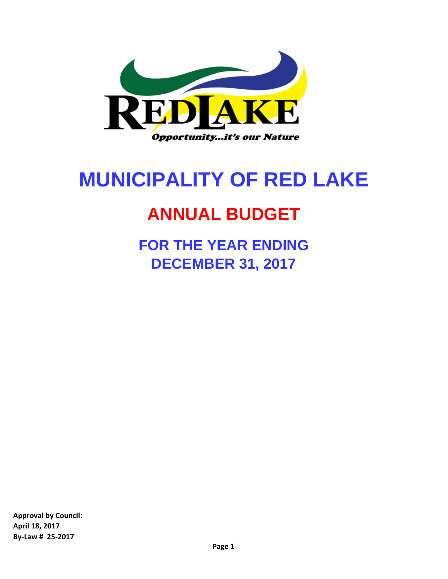

# **MUNICIPALITY OF RED LAKE**

# **ANNUAL BUDGET**

**FOR THE YEAR ENDING DECEMBER 31, 2017**

**Approval by Council: April 18, 2017 By-Law # 25-2017**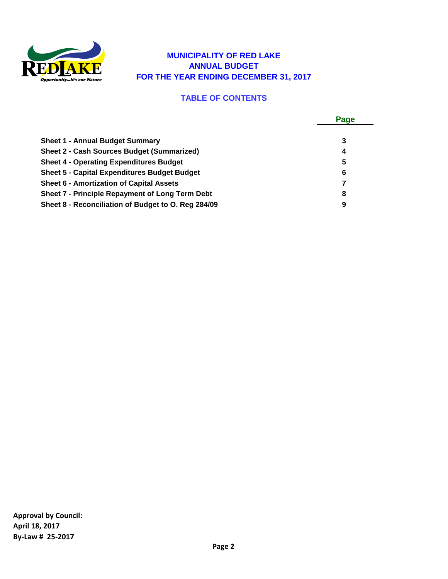

#### **MUNICIPALITY OF RED LAKE ANNUAL BUDGET FOR THE YEAR ENDING DECEMBER 31, 2017**

#### **TABLE OF CONTENTS**

|                                                        | Page |
|--------------------------------------------------------|------|
|                                                        |      |
| <b>Sheet 1 - Annual Budget Summary</b>                 | 3    |
| <b>Sheet 2 - Cash Sources Budget (Summarized)</b>      | 4    |
| <b>Sheet 4 - Operating Expenditures Budget</b>         | 5    |
| <b>Sheet 5 - Capital Expenditures Budget Budget</b>    | 6    |
| <b>Sheet 6 - Amortization of Capital Assets</b>        |      |
| <b>Sheet 7 - Principle Repayment of Long Term Debt</b> | 8    |
| Sheet 8 - Reconciliation of Budget to O. Reg 284/09    | 9    |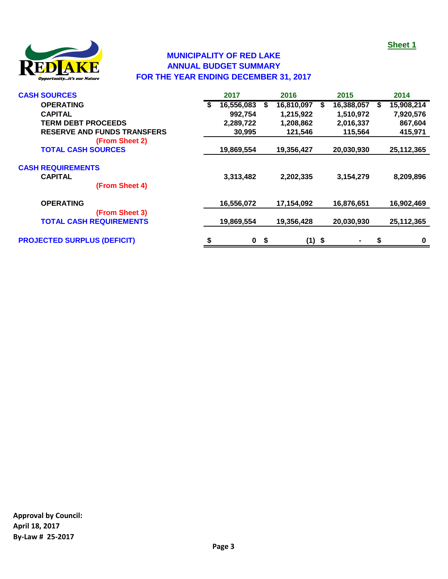

# **MUNICIPALITY OF RED LAKE ANNUAL BUDGET SUMMARY FOR THE YEAR ENDING DECEMBER 31, 2017**

| <b>CASH SOURCES</b>                |    | 2017       |    | 2016       |   | 2015       |   | 2014       |
|------------------------------------|----|------------|----|------------|---|------------|---|------------|
| <b>OPERATING</b>                   | S  | 16,556,083 | S  | 16,810,097 | S | 16,388,057 | S | 15,908,214 |
| <b>CAPITAL</b>                     |    | 992,754    |    | 1,215,922  |   | 1,510,972  |   | 7,920,576  |
| <b>TERM DEBT PROCEEDS</b>          |    | 2,289,722  |    | 1,208,862  |   | 2,016,337  |   | 867,604    |
| <b>RESERVE AND FUNDS TRANSFERS</b> |    | 30,995     |    | 121,546    |   | 115,564    |   | 415,971    |
| (From Sheet 2)                     |    |            |    |            |   |            |   |            |
| <b>TOTAL CASH SOURCES</b>          |    | 19,869,554 |    | 19,356,427 |   | 20,030,930 |   | 25,112,365 |
| <b>CASH REQUIREMENTS</b>           |    |            |    |            |   |            |   |            |
| <b>CAPITAL</b><br>(From Sheet 4)   |    | 3,313,482  |    | 2,202,335  |   | 3,154,279  |   | 8,209,896  |
| <b>OPERATING</b>                   |    | 16,556,072 |    | 17,154,092 |   | 16,876,651 |   | 16,902,469 |
| (From Sheet 3)                     |    |            |    |            |   |            |   |            |
| <b>TOTAL CASH REQUIREMENTS</b>     |    | 19,869,554 |    | 19,356,428 |   | 20,030,930 |   | 25,112,365 |
| <b>PROJECTED SURPLUS (DEFICIT)</b> | \$ | $\bf{0}$   | \$ | $(1)$ \$   |   |            | S | 0          |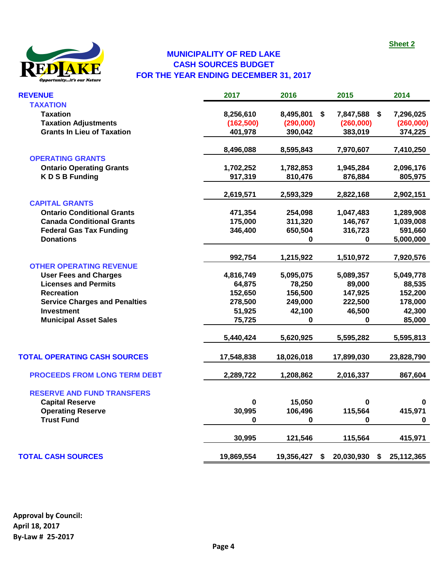

# **MUNICIPALITY OF RED LAKE CASH SOURCES BUDGET FOR THE YEAR ENDING DECEMBER 31, 2017**

| <b>REVENUE</b>                       | 2017       | 2016       | 2015                    | 2014             |
|--------------------------------------|------------|------------|-------------------------|------------------|
| <b>TAXATION</b>                      |            |            |                         |                  |
| <b>Taxation</b>                      | 8,256,610  | 8,495,801  | S.<br>7,847,588<br>- \$ | 7,296,025        |
| <b>Taxation Adjustments</b>          | (162, 500) | (290,000)  | (260,000)               | (260,000)        |
| <b>Grants In Lieu of Taxation</b>    | 401,978    | 390,042    | 383,019                 | 374,225          |
|                                      | 8,496,088  | 8,595,843  | 7,970,607               | 7,410,250        |
| <b>OPERATING GRANTS</b>              |            |            |                         |                  |
| <b>Ontario Operating Grants</b>      | 1,702,252  | 1,782,853  | 1,945,284               | 2,096,176        |
| <b>KDSB Funding</b>                  | 917,319    | 810,476    | 876,884                 | 805,975          |
|                                      | 2,619,571  | 2,593,329  | 2,822,168               | 2,902,151        |
| <b>CAPITAL GRANTS</b>                |            |            |                         |                  |
| <b>Ontario Conditional Grants</b>    | 471,354    | 254,098    | 1,047,483               | 1,289,908        |
| <b>Canada Conditional Grants</b>     | 175,000    | 311,320    | 146,767                 | 1,039,008        |
| <b>Federal Gas Tax Funding</b>       | 346,400    | 650,504    | 316,723                 | 591,660          |
| <b>Donations</b>                     |            | 0          | 0                       | 5,000,000        |
|                                      | 992,754    | 1,215,922  | 1,510,972               | 7,920,576        |
| <b>OTHER OPERATING REVENUE</b>       |            |            |                         |                  |
| <b>User Fees and Charges</b>         | 4,816,749  | 5,095,075  | 5,089,357               | 5,049,778        |
| <b>Licenses and Permits</b>          | 64,875     | 78,250     | 89,000                  | 88,535           |
| <b>Recreation</b>                    | 152,650    | 156,500    | 147,925                 | 152,200          |
| <b>Service Charges and Penalties</b> | 278,500    | 249,000    | 222,500                 | 178,000          |
| <b>Investment</b>                    | 51,925     | 42,100     | 46,500                  | 42,300           |
| <b>Municipal Asset Sales</b>         | 75,725     | 0          | 0                       | 85,000           |
|                                      | 5,440,424  | 5,620,925  | 5,595,282               | 5,595,813        |
| <b>TOTAL OPERATING CASH SOURCES</b>  | 17,548,838 | 18,026,018 | 17,899,030              | 23,828,790       |
| <b>PROCEEDS FROM LONG TERM DEBT</b>  | 2,289,722  | 1,208,862  | 2,016,337               | 867,604          |
| <b>RESERVE AND FUND TRANSFERS</b>    |            |            |                         |                  |
| <b>Capital Reserve</b>               | $\bf{0}$   | 15,050     | 0                       | 0                |
| <b>Operating Reserve</b>             | 30,995     | 106,496    | 115,564                 | 415,971          |
| <b>Trust Fund</b>                    | 0          | 0          | 0                       | 0                |
|                                      | 30,995     | 121,546    | 115,564                 | 415,971          |
| <b>TOTAL CASH SOURCES</b>            | 19,869,554 | 19,356,427 | 20,030,930<br>S         | \$<br>25,112,365 |
|                                      |            |            |                         |                  |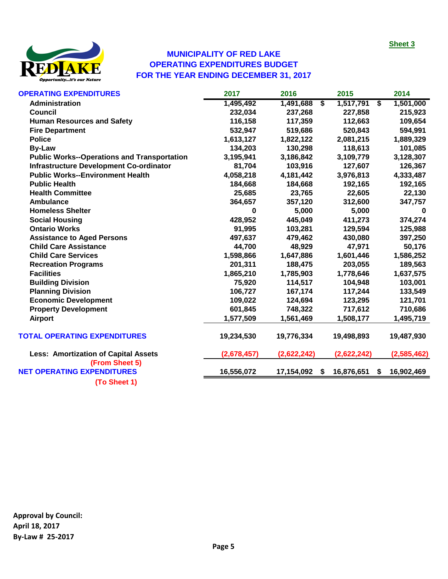**Sheet 3**



#### **MUNICIPALITY OF RED LAKE OPERATING EXPENDITURES BUDGET FOR THE YEAR ENDING DECEMBER 31, 2017**

| <b>OPERATING EXPENDITURES</b>                       | 2017        | 2016             | 2015             | 2014        |
|-----------------------------------------------------|-------------|------------------|------------------|-------------|
| Administration                                      | 1,495,492   | S)<br>1,491,688  | 1,517,791<br>\$  | 1,501,000   |
| <b>Council</b>                                      | 232,034     | 237,268          | 227,858          | 215,923     |
| <b>Human Resources and Safety</b>                   | 116,158     | 117,359          | 112,663          | 109,654     |
| <b>Fire Department</b>                              | 532,947     | 519,686          | 520,843          | 594,991     |
| <b>Police</b>                                       | 1,613,127   | 1,822,122        | 2,081,215        | 1,889,329   |
| <b>By-Law</b>                                       | 134,203     | 130,298          | 118,613          | 101,085     |
| <b>Public Works--Operations and Transportation</b>  | 3,195,941   | 3,186,842        | 3,109,779        | 3,128,307   |
| <b>Infrastructure Development Co-ordinator</b>      | 81,704      | 103,916          | 127,607          | 126,367     |
| <b>Public Works--Environment Health</b>             | 4,058,218   | 4,181,442        | 3,976,813        | 4,333,487   |
| <b>Public Health</b>                                | 184,668     | 184,668          | 192,165          | 192,165     |
| <b>Health Committee</b>                             | 25,685      | 23,765           | 22,605           | 22,130      |
| <b>Ambulance</b>                                    | 364,657     | 357,120          | 312,600          | 347,757     |
| <b>Homeless Shelter</b>                             | $\bf{0}$    | 5,000            | 5,000            | $\bf{0}$    |
| <b>Social Housing</b>                               | 428,952     | 445,049          | 411,273          | 374,274     |
| <b>Ontario Works</b>                                | 91,995      | 103,281          | 129,594          | 125,988     |
| <b>Assistance to Aged Persons</b>                   | 497,637     | 479,462          | 430,080          | 397,250     |
| <b>Child Care Assistance</b>                        | 44,700      | 48,929           | 47,971           | 50,176      |
| <b>Child Care Services</b>                          | 1,598,866   | 1,647,886        | 1,601,446        | 1,586,252   |
| <b>Recreation Programs</b>                          | 201,311     | 188,475          | 203,055          | 189,563     |
| <b>Facilities</b>                                   | 1,865,210   | 1,785,903        | 1,778,646        | 1,637,575   |
| <b>Building Division</b>                            | 75,920      | 114,517          | 104,948          | 103,001     |
| <b>Planning Division</b>                            | 106,727     | 167,174          | 117,244          | 133,549     |
| <b>Economic Development</b>                         | 109,022     | 124,694          | 123,295          | 121,701     |
| <b>Property Development</b>                         | 601,845     | 748,322          | 717,612          | 710,686     |
| <b>Airport</b>                                      | 1,577,509   | 1,561,469        | 1,508,177        | 1,495,719   |
| <b>TOTAL OPERATING EXPENDITURES</b>                 | 19,234,530  | 19,776,334       | 19,498,893       | 19,487,930  |
| <b>Less: Amortization of Capital Assets</b>         | (2,678,457) | (2,622,242)      | (2,622,242)      | (2,585,462) |
| (From Sheet 5)<br><b>NET OPERATING EXPENDITURES</b> | 16,556,072  | 17,154,092<br>\$ | 16,876,651<br>\$ | 16,902,469  |
| (To Sheet 1)                                        |             |                  |                  |             |
|                                                     |             |                  |                  |             |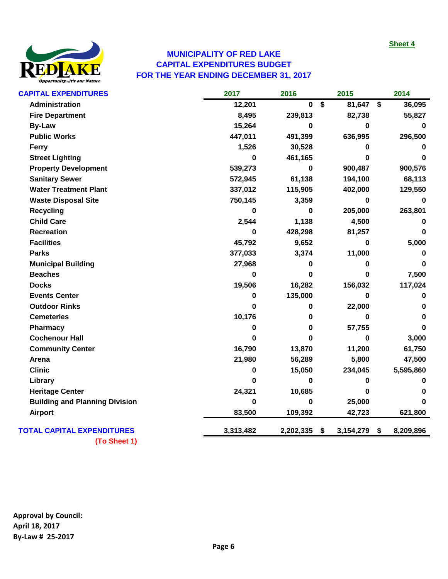

# **MUNICIPALITY OF RED LAKE CAPITAL EXPENDITURES BUDGET FOR THE YEAR ENDING DECEMBER 31, 2017**

| <b>CAPITAL EXPENDITURES</b>           | 2017      | 2016        | 2015            | 2014            |
|---------------------------------------|-----------|-------------|-----------------|-----------------|
| Administration                        | 12,201    | $\mathbf 0$ | \$<br>81,647    | \$<br>36,095    |
| <b>Fire Department</b>                | 8,495     | 239,813     | 82,738          | 55,827          |
| <b>By-Law</b>                         | 15,264    | 0           | 0               | 0               |
| <b>Public Works</b>                   | 447,011   | 491,399     | 636,995         | 296,500         |
| Ferry                                 | 1,526     | 30,528      | 0               | 0               |
| <b>Street Lighting</b>                | 0         | 461,165     | 0               | $\Omega$        |
| <b>Property Development</b>           | 539,273   | 0           | 900,487         | 900,576         |
| <b>Sanitary Sewer</b>                 | 572,945   | 61,138      | 194,100         | 68,113          |
| <b>Water Treatment Plant</b>          | 337,012   | 115,905     | 402,000         | 129,550         |
| <b>Waste Disposal Site</b>            | 750,145   | 3,359       | $\mathbf 0$     | 0               |
| <b>Recycling</b>                      | 0         | 0           | 205,000         | 263,801         |
| <b>Child Care</b>                     | 2,544     | 1,138       | 4,500           | 0               |
| <b>Recreation</b>                     | 0         | 428,298     | 81,257          | 0               |
| <b>Facilities</b>                     | 45,792    | 9,652       | $\mathbf 0$     | 5,000           |
| <b>Parks</b>                          | 377,033   | 3,374       | 11,000          | 0               |
| <b>Municipal Building</b>             | 27,968    | 0           | 0               | $\Omega$        |
| <b>Beaches</b>                        | 0         | 0           | $\bf{0}$        | 7,500           |
| <b>Docks</b>                          | 19,506    | 16,282      | 156,032         | 117,024         |
| <b>Events Center</b>                  | 0         | 135,000     | 0               | 0               |
| <b>Outdoor Rinks</b>                  | 0         | 0           | 22,000          | 0               |
| <b>Cemeteries</b>                     | 10,176    | 0           | 0               | $\Omega$        |
| Pharmacy                              | 0         | 0           | 57,755          | $\Omega$        |
| <b>Cochenour Hall</b>                 | 0         | 0           | 0               | 3,000           |
| <b>Community Center</b>               | 16,790    | 13,870      | 11,200          | 61,750          |
| Arena                                 | 21,980    | 56,289      | 5,800           | 47,500          |
| <b>Clinic</b>                         | 0         | 15,050      | 234,045         | 5,595,860       |
| Library                               | 0         | $\bf{0}$    | 0               | 0               |
| <b>Heritage Center</b>                | 24,321    | 10,685      | 0               | n               |
| <b>Building and Planning Division</b> | 0         | 0           | 25,000          | <sup>0</sup>    |
| <b>Airport</b>                        | 83,500    | 109,392     | 42,723          | 621,800         |
| <b>TOTAL CAPITAL EXPENDITURES</b>     | 3,313,482 | 2,202,335   | \$<br>3,154,279 | \$<br>8,209,896 |
|                                       |           |             |                 |                 |

**(To Sheet 1)**

**Approval by Council: April 18, 2017 By-Law # 25-2017**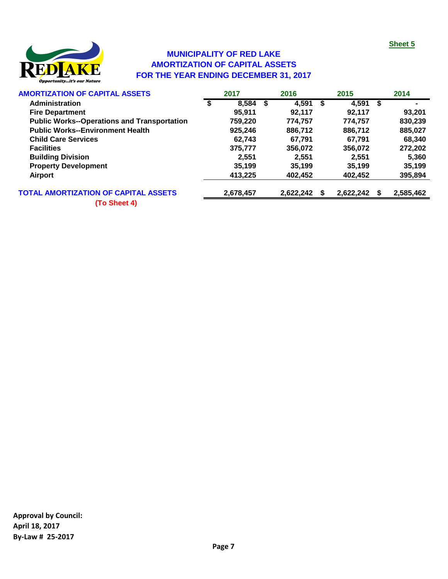

# **MUNICIPALITY OF RED LAKE AMORTIZATION OF CAPITAL ASSETS FOR THE YEAR ENDING DECEMBER 31, 2017**

| <b>AMORTIZATION OF CAPITAL ASSETS</b>              | 2017        |      | 2016      |   | 2015      |   | 2014      |
|----------------------------------------------------|-------------|------|-----------|---|-----------|---|-----------|
| <b>Administration</b>                              | \$<br>8,584 | - \$ | 4,591     | S | 4.591     | S |           |
| <b>Fire Department</b>                             | 95,911      |      | 92.117    |   | 92,117    |   | 93,201    |
| <b>Public Works--Operations and Transportation</b> | 759,220     |      | 774,757   |   | 774.757   |   | 830,239   |
| <b>Public Works--Environment Health</b>            | 925,246     |      | 886,712   |   | 886,712   |   | 885,027   |
| <b>Child Care Services</b>                         | 62.743      |      | 67.791    |   | 67.791    |   | 68,340    |
| <b>Facilities</b>                                  | 375,777     |      | 356,072   |   | 356,072   |   | 272,202   |
| <b>Building Division</b>                           | 2,551       |      | 2,551     |   | 2,551     |   | 5,360     |
| <b>Property Development</b>                        | 35.199      |      | 35,199    |   | 35,199    |   | 35,199    |
| Airport                                            | 413,225     |      | 402,452   |   | 402,452   |   | 395,894   |
| <b>TOTAL AMORTIZATION OF CAPITAL ASSETS</b>        | 2,678,457   |      | 2,622,242 |   | 2,622,242 |   | 2,585,462 |
|                                                    |             |      |           |   |           |   |           |

**(To Sheet 4)**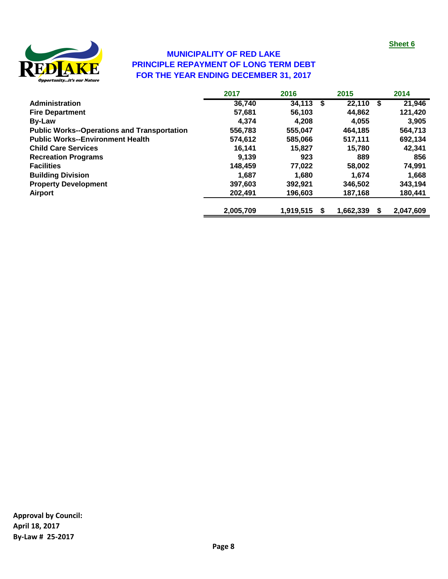

# **FOR THE YEAR ENDING DECEMBER 31, 2017 MUNICIPALITY OF RED LAKE PRINCIPLE REPAYMENT OF LONG TERM DEBT**

|                                                    | 2017      | 2016           | 2015      |    | 2014      |
|----------------------------------------------------|-----------|----------------|-----------|----|-----------|
| Administration                                     | 36,740    | 34,113<br>- \$ | 22,110    | \$ | 21,946    |
| <b>Fire Department</b>                             | 57,681    | 56.103         | 44,862    |    | 121,420   |
| <b>By-Law</b>                                      | 4.374     | 4.208          | 4,055     |    | 3,905     |
| <b>Public Works--Operations and Transportation</b> | 556,783   | 555.047        | 464,185   |    | 564,713   |
| <b>Public Works--Environment Health</b>            | 574,612   | 585,066        | 517.111   |    | 692,134   |
| <b>Child Care Services</b>                         | 16,141    | 15,827         | 15,780    |    | 42,341    |
| <b>Recreation Programs</b>                         | 9.139     | 923            | 889       |    | 856       |
| <b>Facilities</b>                                  | 148,459   | 77.022         | 58,002    |    | 74,991    |
| <b>Building Division</b>                           | 1.687     | 1.680          | 1.674     |    | 1.668     |
| <b>Property Development</b>                        | 397,603   | 392,921        | 346,502   |    | 343,194   |
| Airport                                            | 202,491   | 196,603        | 187,168   |    | 180,441   |
|                                                    | 2,005,709 | 1.919.515      | 1,662,339 | S  | 2,047,609 |